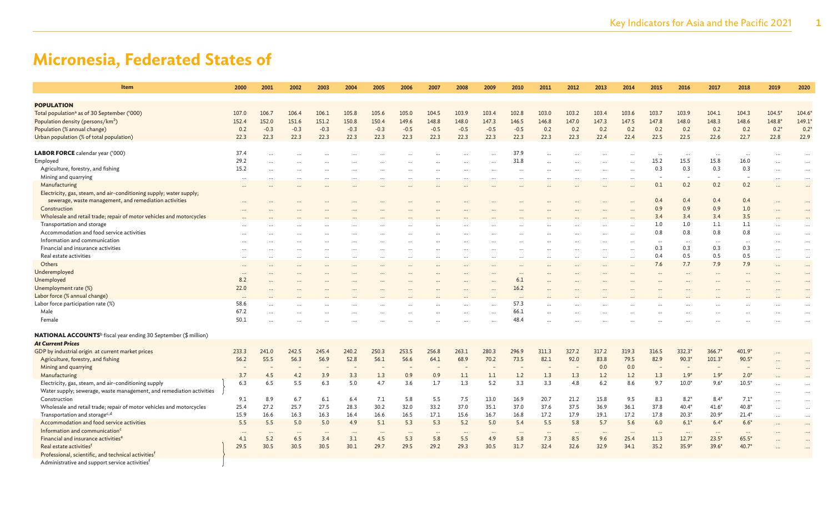| Item                                                                               | 2000     | 2001                 | 2002     | 2003      | 2004     | 2005     | 2006   | 2007     | 2008     | 2009      | 2010      | 2011     | 2012  | 2013                 | 2014     | 2015      | 2016                     | 2017      | 2018     | 2019     | 2020          |
|------------------------------------------------------------------------------------|----------|----------------------|----------|-----------|----------|----------|--------|----------|----------|-----------|-----------|----------|-------|----------------------|----------|-----------|--------------------------|-----------|----------|----------|---------------|
| <b>POPULATION</b>                                                                  |          |                      |          |           |          |          |        |          |          |           |           |          |       |                      |          |           |                          |           |          |          |               |
| Total population <sup>a</sup> as of 30 September ('000)                            | 107.0    | 106.7                | 106.4    | 106.1     | 105.8    | 105.6    | 105.0  | 104.5    | 103.9    | 103.4     | 102.8     | 103.0    | 103.2 | 103.4                | 103.6    | 103.7     | 103.9                    | 104.1     | 104.3    | $104.5*$ | 104.6         |
| Population density (persons/km <sup>2</sup> )                                      | 152.4    | 152.0                | 151.6    | 151.2     | 150.8    | 150.4    | 149.6  | 148.8    | 148.0    | 147.3     | 146.5     | 146.8    | 147.0 | 147.3                | 147.5    | 147.8     | 148.0                    | 148.3     | 148.6    | 148.8    | 149.1         |
| Population (% annual change)                                                       | 0.2      | $-0.3$               | $-0.3$   | $-0.3$    | $-0.3$   | $-0.3$   | $-0.5$ | $-0.5$   | $-0.5$   | $-0.5$    | $-0.5$    | 0.2      | 0.2   | 0.2                  | 0.2      | 0.2       | 0.2                      | 0.2       | 0.2      | $0.2*$   | $0.2^{\circ}$ |
| Urban population (% of total population)                                           | 22.3     | 22.3                 | 22.3     | 22.3      | 22.3     | 22.3     | 22.3   | 22.3     | 22.3     | 22.3      | 22.3      | 22.3     | 22.3  | 22.4                 | 22.4     | 22.5      | 22.5                     | 22.6      | 22.7     | 22.8     | 22.9          |
|                                                                                    |          |                      |          |           |          |          |        |          |          |           |           |          |       |                      |          |           |                          |           |          |          |               |
| <b>LABOR FORCE</b> calendar year ('000)                                            | 37.4     |                      |          |           |          |          |        |          |          |           | 37.9      |          |       |                      |          | $\ddotsc$ | $\cdots$                 | $\ddotsc$ | $\ddots$ |          |               |
| Employed                                                                           | 29.2     |                      |          |           |          |          |        |          |          |           | 31.8      |          |       |                      |          | 15.2      | 15.5                     | 15.8      | 16.0     |          |               |
| Agriculture, forestry, and fishing                                                 | 15.2     |                      |          |           |          |          |        |          |          |           | $\ddotsc$ |          |       |                      |          | 0.3       | 0.3                      | 0.3       | 0.3      |          | $\cdots$      |
| Mining and quarrying                                                               | $\cdots$ | $\ddot{\phantom{a}}$ |          | $\cdots$  |          |          |        |          |          | $\ddotsc$ |           |          |       | $\ddotsc$            |          |           | $\overline{\phantom{a}}$ |           | ۰        |          |               |
| Manufacturing                                                                      |          |                      |          |           |          |          |        |          |          |           |           |          |       |                      |          | 0.1       | 0.2                      | 0.2       | 0.2      |          | $\cdots$      |
| Electricity, gas, steam, and air-conditioning supply; water supply;                |          |                      |          |           |          |          |        |          |          |           |           |          |       |                      |          |           |                          |           |          |          |               |
| sewerage, waste management, and remediation activities                             |          |                      |          |           |          |          |        |          |          |           |           |          |       |                      |          | 0.4       | 0.4                      | 0.4       | 0.4      |          |               |
| Construction                                                                       |          |                      |          |           |          |          |        |          |          |           |           |          |       |                      |          | 0.9       | 0.9                      | 0.9       | 1.0      |          |               |
| Wholesale and retail trade; repair of motor vehicles and motorcycles               |          |                      |          |           |          |          |        |          |          |           |           |          |       |                      |          | 3.4       | 3.4                      | 3.4       | 3.5      |          |               |
| Transportation and storage                                                         |          |                      |          |           |          |          |        |          |          |           |           |          |       |                      |          | 1.0       | 1.0                      | 1.1       | 1.1      |          |               |
| Accommodation and food service activities                                          |          |                      |          |           |          |          |        |          |          |           |           |          |       |                      |          | 0.8       | 0.8                      | 0.8       | 0.8      |          |               |
| Information and communication                                                      |          |                      |          |           |          |          |        |          |          |           |           |          |       |                      |          | $\ddotsc$ | $\cdots$                 | $\cdots$  | $\ddots$ |          |               |
| Financial and insurance activities                                                 |          |                      |          |           |          |          |        |          |          |           |           |          |       |                      |          | 0.3       | 0.3                      | 0.3       | 0.3      |          |               |
| Real estate activities                                                             |          |                      |          |           |          |          |        |          |          |           |           |          |       | $\ddotsc$            |          | 0.4       | 0.5                      | 0.5       | 0.5      |          | $\cdots$      |
| Others                                                                             |          |                      |          |           |          |          |        |          |          |           |           |          |       | $\ddot{\phantom{a}}$ |          | 7.6       | 7.7                      | 7.9       | 7.9      | $\cdots$ |               |
| Underemployed                                                                      | $\cdots$ |                      |          |           |          |          |        |          |          |           | $\ddots$  |          |       |                      |          |           | $\cdots$                 | $\ddotsc$ | $\cdots$ |          | $\cdots$      |
| <b>Unemployed</b>                                                                  | 8.2      |                      |          |           |          |          |        |          |          |           | 6.1       |          |       |                      |          |           |                          |           |          |          |               |
| Unemployment rate (%)                                                              | 22.0     |                      |          |           |          |          |        |          |          |           | 16.2      |          |       |                      |          |           |                          |           |          |          |               |
| Labor force (% annual change)                                                      | $\cdots$ |                      |          |           |          |          |        |          |          |           | $\ddots$  |          |       |                      |          |           |                          |           |          |          |               |
| Labor force participation rate (%)                                                 | 58.6     |                      |          |           |          |          |        |          |          |           | 57.3      |          |       |                      |          |           |                          |           |          |          |               |
| Male                                                                               | 67.2     |                      |          |           |          |          |        |          |          |           | 66.1      |          |       |                      |          |           |                          |           |          |          |               |
| Female                                                                             | 50.1     |                      |          |           |          |          |        |          |          |           | 48.4      |          |       |                      |          |           |                          |           |          |          |               |
| <b>NATIONAL ACCOUNTS</b> <sup>b</sup> fiscal year ending 30 September (\$ million) |          |                      |          |           |          |          |        |          |          |           |           |          |       |                      |          |           |                          |           |          |          |               |
| <b>At Current Prices</b>                                                           |          |                      |          |           |          |          |        |          |          |           |           |          |       |                      |          |           |                          |           |          |          |               |
| GDP by industrial origin at current market prices                                  | 233.3    | 241.0                | 242.5    | 245.4     | 240.2    | 250.3    | 253.5  | 256.8    | 263.1    | 280.3     | 296.9     | 311.3    | 327.2 | 317.2                | 319.3    | 316.5     | 332.3*                   | 366.7*    | 401.9*   |          |               |
| Agriculture, forestry, and fishing                                                 | 56.2     | 55.5                 | 56.3     | 56.9      | 52.8     | 56.1     | 56.6   | 64.1     | 68.9     | 70.2      | 73.5      | 82.1     | 92.0  | 83.8                 | 79.5     | 82.9      | $90.3*$                  | $101.3*$  | $90.5*$  |          |               |
| Mining and quarrying                                                               |          |                      |          |           |          |          |        |          |          |           |           |          |       | 0.0                  | 0.0      |           | $\overline{a}$           |           | L.       |          |               |
| Manufacturing                                                                      | 3.7      | 4.5                  | 4.2      | 3.9       | 3.3      | 1.3      | 0.9    | 0.9      | 1.1      | 1.1       | 1.2       | 1.3      | 1.3   | 1.2                  | 1.2      | 1.3       | $1.9*$                   | $1.9*$    | $2.0*$   |          |               |
| Electricity, gas, steam, and air-conditioning supply                               | 6.3      | 6.5                  | 5.5      | 6.3       | 5.0      | 4.7      | 3.6    | 1.7      | 1.3      | 5.2       | 3.3       | 3.3      | 4.8   | 6.2                  | 8.6      | 9.7       | $10.0*$                  | $9.6*$    | $10.5*$  |          |               |
| Water supply; sewerage, waste management, and remediation activities               |          |                      |          |           |          |          |        |          |          |           |           |          |       |                      |          |           |                          |           |          |          | $\cdots$      |
| Construction                                                                       | 9.1      | 8.9                  | 6.7      | 6.1       | 6.4      | 7.1      | 5.8    | 5.5      | 7.5      | 13.0      | 16.9      | 20.7     | 21.2  | 15.8                 | 9.5      | 8.3       | $8.2*$                   | $8.4*$    | $7.1*$   |          | $\cdots$      |
| Wholesale and retail trade; repair of motor vehicles and motorcycles               | 25.4     | 27.2                 | 25.7     | 27.5      | 28.3     | 30.2     | 32.0   | 33.2     | 37.0     | 35.1      | 37.0      | 37.6     | 37.5  | 36.9                 | 36.1     | 37.8      | $40.4*$                  | $41.6*$   | $40.8*$  |          |               |
| Transportation and storage <sup>c,d</sup>                                          | 15.9     | 16.6                 | 16.3     | 16.3      | 16.4     | 16.6     | 16.5   | 17.1     | 15.6     | 16.7      | 16.8      | 17.2     | 17.9  | 19.1                 | 17.2     | 17.8      | $20.3*$                  | $20.9*$   | $21.4*$  |          | $\ddots$      |
| Accommodation and food service activities                                          | 5.5      | 5.5                  | 5.0      | 5.0       | 4.9      | 5.1      | 5.3    | 5.3      | 5.2      | 5.0       | 5.4       | 5.5      | 5.8   | 5.7                  | 5.6      | 6.0       | $6.1*$                   | $6.4*$    | $6.6*$   |          |               |
| Information and communication <sup>c</sup>                                         |          | $\ddotsc$            | $\cdots$ | $\ddotsc$ | $\cdots$ | $\cdots$ |        | $\cdots$ | $\cdots$ |           | $\ddots$  | $\ddots$ |       | $\ddots$             | $\cdots$ |           | $\cdots$                 | $\cdots$  | $\ddots$ |          | $\cdots$      |
| Financial and insurance activities <sup>e</sup>                                    | 4.1      | 5.2                  | 6.5      | 3.4       | 3.1      | 4.5      | 5.3    | 5.8      | 5.5      | 4.9       | 5.8       | 7.3      | 8.5   | 9.6                  | 25.4     | 11.3      | $12.7*$                  | $23.5*$   | $65.5*$  |          | $\ddotsc$     |
| Real estate activities <sup>f</sup>                                                | 29.5     | 30.5                 | 30.5     | 30.5      | 30.1     | 29.7     | 29.5   | 29.2     | 29.3     | 30.5      | 31.7      | 32.4     | 32.6  | 32.9                 | 34.1     | 35.2      | $35.9*$                  | $39.6*$   | $40.7*$  |          |               |
| Professional, scientific, and technical activities <sup>t</sup>                    |          |                      |          |           |          |          |        |          |          |           |           |          |       |                      |          |           |                          |           |          |          |               |
| Administrative and support service activities <sup>f</sup>                         |          |                      |          |           |          |          |        |          |          |           |           |          |       |                      |          |           |                          |           |          |          |               |
|                                                                                    |          |                      |          |           |          |          |        |          |          |           |           |          |       |                      |          |           |                          |           |          |          |               |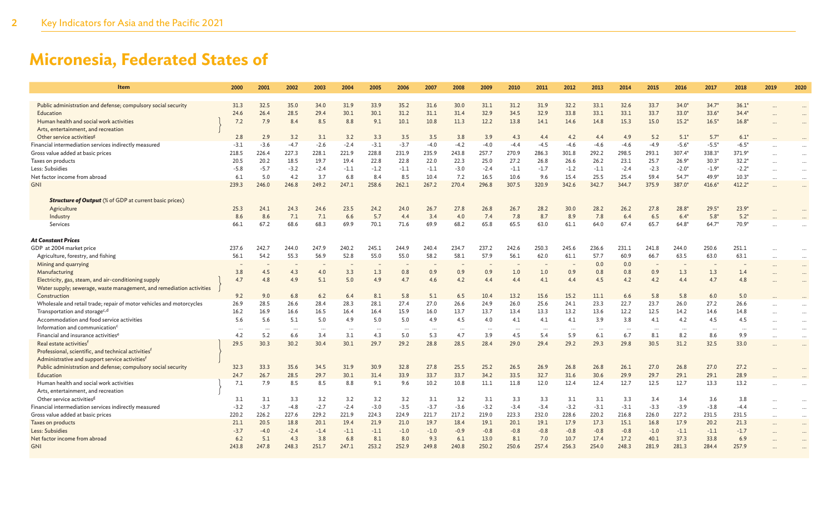| Item                                                                 | 2000      | 2001      | 2002      | 2003     | 2004   | 2005                     | 2006     | 2007     | 2008                     | 2009     | 2010     | 2011                     | 2012     | 2013     | 2014     | 2015     | 2016     | 2017     | 2018     | 2019                 | 2020     |
|----------------------------------------------------------------------|-----------|-----------|-----------|----------|--------|--------------------------|----------|----------|--------------------------|----------|----------|--------------------------|----------|----------|----------|----------|----------|----------|----------|----------------------|----------|
| Public administration and defense; compulsory social security        | 31.3      | 32.5      | 35.0      | 34.0     | 31.9   | 33.9                     | 35.2     | 31.6     | 30.0                     | 31.1     | 31.2     | 31.9                     | 32.2     | 33.1     | 32.6     | 33.7     | $34.0*$  | $34.7*$  | $36.1*$  |                      |          |
| Education                                                            | 24.6      | 26.4      | 28.5      | 29.4     | 30.1   | 30.1                     | 31.2     | 31.1     | 31.4                     | 32.9     | 34.5     | 32.9                     | 33.8     | 33.1     | 33.1     | 33.7     | $33.0*$  | $33.6*$  | $34.4*$  |                      |          |
| Human health and social work activities                              | 7.2       | 7.9       | 8.4       | 8.5      | 8.8    | 9.1                      | 10.1     | 10.8     | 11.3                     | 12.2     | 13.8     | 14.1                     | 14.6     | 14.8     | 15.3     | 15.0     | $15.2*$  | $16.5*$  | $16.8*$  |                      |          |
| Arts, entertainment, and recreation                                  |           |           |           |          |        |                          |          |          |                          |          |          |                          |          |          |          |          |          |          |          |                      |          |
| Other service activities <sup>g</sup>                                | 2.8       | 2.9       | 3.2       | 3.1      | 3.2    | 3.3                      | 3.5      | 3.5      | 3.8                      | 3.9      | 4.3      | 4.4                      | 4.2      | 4.4      | 4.9      | 5.2      | $5.1*$   | $5.7*$   | $6.1*$   |                      |          |
| Financial intermediation services indirectly measured                | $-3.1$    | $-3.6$    | $-4.7$    | $-2.6$   | $-2.4$ | $-3.1$                   | $-3.7$   | $-4.0$   | $-4.2$                   | $-4.0$   | $-4.4$   | -4.5                     | $-4.6$   | $-4.6$   | $-4.6$   | $-4.9$   | $-5.6*$  | $-5.5*$  | $-6.5*$  |                      |          |
| Gross value added at basic prices                                    | 218.5     | 226.4     | 227.3     | 228.1    | 221.9  | 228.8                    | 231.9    | 235.9    | 243.8                    | 257.7    | 270.9    | 286.3                    | 301.8    | 292.2    | 298.5    | 293.1    | 307.4*   | 338.3*   | 371.9*   |                      |          |
| Taxes on products                                                    | 20.5      | 20.2      | 18.5      | 19.7     | 19.4   | 22.8                     | 22.8     | 22.0     | 22.3                     | 25.0     | 27.2     | 26.8                     | 26.6     | 26.2     | 23.1     | 25.7     | $26.9*$  | $30.3*$  | $32.2*$  |                      |          |
| Less: Subsidies                                                      | $-5.8$    | $-5.7$    | $-3.2$    | $-2.4$   | $-1.1$ | $-1.2$                   | $-1.1$   | $-1.1$   | $-3.0$                   | $-2.4$   | $-1.1$   | $-1.7$                   | $-1.2$   | $-1.1$   | $-2.4$   | $-2.3$   | $-2.0*$  | $-1.9*$  | $-2.2*$  | $\ddot{\phantom{a}}$ | $\cdots$ |
| Net factor income from abroad                                        | 6.1       | 5.0       | 4.2       | 3.7      | 6.8    | 8.4                      | 8.5      | 10.4     | 7.2                      | 16.5     | 10.6     | 9.6                      | 15.4     | 25.5     | 25.4     | 59.4     | $54.7*$  | 49.9*    | $10.3*$  | $\ddot{\phantom{a}}$ | $\cdots$ |
| <b>GNI</b>                                                           | 239.3     |           | 246.8     | 249.2    | 247.1  | 258.6                    | 262.1    | 267.2    | 270.4                    | 296.8    | 307.5    | 320.9                    | 342.6    | 342.7    | 344.7    | 375.9    |          |          | 412.2*   |                      | $\cdots$ |
|                                                                      |           | 246.0     |           |          |        |                          |          |          |                          |          |          |                          |          |          |          |          | 387.0*   | $416.6*$ |          |                      |          |
|                                                                      |           |           |           |          |        |                          |          |          |                          |          |          |                          |          |          |          |          |          |          |          |                      |          |
| <b>Structure of Output</b> (% of GDP at current basic prices)        |           |           |           |          |        |                          |          |          |                          |          |          |                          |          |          |          |          |          |          |          |                      |          |
| Agriculture                                                          | 25.3      | 24.1      | 24.3      | 24.6     | 23.5   | 24.2                     | 24.0     | 26.7     | 27.8                     | 26.8     | 26.7     | 28.2                     | 30.0     | 28.2     | 26.2     | 27.8     | $28.8*$  | $29.5*$  | $23.9*$  |                      |          |
| Industry                                                             | 8.6       | 8.6       | 7.1       | 7.1      | 6.6    | 5.7                      | 4.4      | 3.4      | 4.0                      | 7.4      | 7.8      | 8.7                      | 8.9      | 7.8      | 6.4      | 6.5      | $6.4*$   | $5.8*$   | $5.2*$   |                      |          |
| Services                                                             | 66.1      | 67.2      | 68.6      | 68.3     | 69.9   | 70.1                     | 71.6     | 69.9     | 68.2                     | 65.8     | 65.5     | 63.0                     | 61.1     | 64.0     | 67.4     | 65.7     | $64.8*$  | $64.7*$  | 70.9*    |                      |          |
|                                                                      |           |           |           |          |        |                          |          |          |                          |          |          |                          |          |          |          |          |          |          |          |                      |          |
| <b>At Constant Prices</b>                                            |           |           |           |          |        |                          |          |          |                          |          |          |                          |          |          |          |          |          |          |          |                      |          |
| GDP at 2004 market price                                             | 237.6     | 242.7     | 244.0     | 247.9    | 240.2  | 245.1                    | 244.9    | 240.4    | 234.7                    | 237.2    | 242.6    | 250.3                    | 245.6    | 236.6    | 231.1    | 241.8    | 244.0    | 250.6    | 251.1    |                      |          |
| Agriculture, forestry, and fishing                                   | 56.1      | 54.2      | 55.3      | 56.9     | 52.8   | 55.0                     | 55.0     | 58.2     | 58.1                     | 57.9     | 56.1     | 62.0                     | 61.1     | 57.7     | 60.9     | 66.7     | 63.5     | 63.0     | 63.1     | $\ddot{\phantom{a}}$ | $\cdots$ |
| Mining and quarrying                                                 |           |           |           |          |        | $\overline{\phantom{a}}$ |          |          | $\overline{\phantom{m}}$ |          |          | $\overline{\phantom{a}}$ |          | 0.0      | 0.0      |          |          |          |          |                      | $\cdots$ |
| Manufacturing                                                        | 3.8       | 4.5       | 4.3       | 4.0      | 3.3    | 1.3                      | 0.8      | 0.9      | 0.9                      | 0.9      | 1.0      | 1.0                      | 0.9      | 0.8      | 0.8      | 0.9      | 1.3      | 1.3      | 1.4      | $\ddot{\phantom{a}}$ |          |
| Electricity, gas, steam, and air-conditioning supply                 | 4.7       | 4.8       | 4.9       | 5.1      | 5.0    | 4.9                      | 4.7      | 4.6      | 4.2                      | 4.4      | 4.4      | 4.1                      | 4.4      | 4.5      | 4.2      | 4.2      | 4.4      | 4.7      | 4.8      |                      |          |
| Water supply; sewerage, waste management, and remediation activities |           |           |           |          |        |                          |          |          |                          |          |          |                          |          |          |          |          |          |          |          |                      |          |
| Construction                                                         | 9.2       | 9.0       | 6.8       | 6.2      | 6.4    | 8.1                      | 5.8      | 5.1      | 6.5                      | 10.4     | 13.2     | 15.6                     | 15.2     | 11.1     | 6.6      | 5.8      | 5.8      | 6.0      | 5.0      |                      |          |
| Wholesale and retail trade; repair of motor vehicles and motorcycles | 26.9      | 28.5      | 26.6      | 28.4     | 28.3   | 28.1                     | 27.4     | 27.0     | 26.6                     | 24.9     | 26.0     | 25.6                     | 24.1     | 23.3     | 22.7     | 23.7     | 26.0     | 27.2     | 26.6     |                      |          |
| Transportation and storage <sup>c,d</sup>                            | 16.2      | 16.9      | 16.6      | 16.5     | 16.4   | 16.4                     | 15.9     | 16.0     | 13.7                     | 13.7     | 13.4     | 13.3                     | 13.2     | 13.6     | 12.2     | 12.5     | 14.2     | 14.6     | 14.8     |                      | $\cdots$ |
| Accommodation and food service activities                            | 5.6       | 5.6       | 5.1       | 5.0      | 4.9    | 5.0                      | 5.0      | 4.9      | 4.5                      | 4.0      | 4.1      | 4.1                      | 4.1      | 3.9      | 3.8      | 4.1      | 4.2      | 4.5      | 4.5      | $\ddot{\phantom{a}}$ | $\cdots$ |
| Information and communication <sup>c</sup>                           | $\ddotsc$ | $\ddotsc$ | $\cdot$ . | $\cdots$ | .      | $\cdots$                 | $\cdots$ | $\cdots$ | $\cdots$                 | $\cdots$ | $\cdots$ | $\cdots$                 | $\cdots$ | $\cdots$ | $\cdots$ | $\cdots$ | $\cdots$ | $\cdots$ | $\cdots$ |                      | $\cdots$ |
| Financial and insurance activities <sup>6</sup>                      | 4.2       | 5.2       | 6.6       | 3.4      | 3.1    | 4.3                      | 5.0      | 5.3      | 4.7                      | 3.9      | 4.5      | 5.4                      | 5.9      | 6.1      | 6.7      | 8.1      | 8.2      | 8.6      | 9.9      | $\cdots$             | $\cdots$ |
| Real estate activities <sup>f</sup>                                  | 29.5      | 30.3      | 30.2      | 30.4     | 30.1   | 29.7                     | 29.2     | 28.8     | 28.5                     | 28.4     | 29.0     | 29.4                     | 29.2     | 29.3     | 29.8     | 30.5     | 31.2     | 32.5     | 33.0     |                      |          |
| Professional, scientific, and technical activities <sup>f</sup>      |           |           |           |          |        |                          |          |          |                          |          |          |                          |          |          |          |          |          |          |          |                      |          |
| Administrative and support service activities <sup>f</sup>           |           |           |           |          |        |                          |          |          |                          |          |          |                          |          |          |          |          |          |          |          |                      |          |
| Public administration and defense; compulsory social security        | 32.3      | 33.3      | 35.6      | 34.5     | 31.9   | 30.9                     | 32.8     | 27.8     | 25.5                     | 25.2     | 26.5     | 26.9                     | 26.8     | 26.8     | 26.1     | 27.0     | 26.8     | 27.0     | 27.2     |                      |          |
| Education                                                            | 24.7      | 26.7      | 28.5      | 29.7     | 30.1   | 31.4                     | 33.9     | 33.7     | 33.7                     | 34.2     | 33.5     | 32.7                     | 31.6     | 30.6     | 29.9     | 29.7     | 29.1     | 29.1     | 28.9     |                      |          |
| Human health and social work activities                              | 7.1       | 7.9       | 8.5       | 8.5      | 8.8    | 9.1                      | 9.6      | 10.2     | 10.8                     | 11.1     | 11.8     | 12.0                     | 12.4     | 12.4     | 12.7     | 12.5     | 12.7     | 13.3     | 13.2     |                      |          |
| Arts, entertainment, and recreation                                  |           |           |           |          |        |                          |          |          |                          |          |          |                          |          |          |          |          |          |          |          |                      |          |
| Other service activities <sup>g</sup>                                | 3.1       | 3.1       | 3.3       | 3.2      | 3.2    | 3.2                      | 3.2      | 3.1      | 3.2                      | 3.1      | 3.3      | 3.3                      | 3.1      | 3.1      | 3.3      | 3.4      | 3.4      | 3.6      | 3.8      |                      | $\cdots$ |
| Financial intermediation services indirectly measured                | $-3.2$    | $-3.7$    | $-4.8$    | $-2.7$   | $-2.4$ | $-3.0$                   | $-3.5$   | $-3.7$   | $-3.6$                   | $-3.2$   | $-3.4$   | $-3.4$                   | $-3.2$   | $-3.1$   | $-3.1$   | $-3.3$   | $-3.9$   | $-3.8$   | $-4.4$   | $\ddot{\phantom{a}}$ | $\cdots$ |
| Gross value added at basic prices                                    | 220.2     | 226.2     | 227.6     | 229.2    | 221.9  | 224.3                    | 224.9    | 221.7    | 217.2                    | 219.0    | 223.3    | 232.0                    | 228.6    | 220.2    | 216.8    | 226.0    | 227.2    | 231.5    | 231.5    |                      | $\cdots$ |
| Taxes on products                                                    | 21.1      | 20.5      | 18.8      | 20.1     | 19.4   | 21.9                     | 21.0     | 19.7     | 18.4                     | 19.1     | 20.1     | 19.1                     | 17.9     | 17.3     | 15.1     | 16.8     | 17.9     | 20.2     | 21.3     |                      | $\cdots$ |
| Less: Subsidies                                                      | $-3.7$    | $-4.0$    | $-2.4$    | $-1.4$   | $-1.1$ | $-1.1$                   | $-1.0$   | $-1.0$   | $-0.9$                   | $-0.8$   | $-0.8$   | $-0.8$                   | $-0.8$   | $-0.8$   | $-0.8$   | $-1.0$   | $-1.1$   | $-1.1$   | $-1.7$   | $\sim$               |          |
| Net factor income from abroad                                        | 6.2       | 5.1       | 4.3       | 3.8      | 6.8    | 8.1                      | 8.0      | 9.3      | 6.1                      | 13.0     | 8.1      | 7.0                      | 10.7     | 17.4     | 17.2     | 40.1     | 37.3     | 33.8     | 6.9      |                      |          |
| <b>GNI</b>                                                           | 243.8     | 247.8     | 248.3     | 251.7    | 247.1  | 253.2                    | 252.9    | 249.8    | 240.8                    | 250.2    | 250.6    | 257.4                    | 256.3    | 254.0    | 248.3    | 281.9    | 281.3    | 284.4    | 257.9    |                      |          |
|                                                                      |           |           |           |          |        |                          |          |          |                          |          |          |                          |          |          |          |          |          |          |          |                      |          |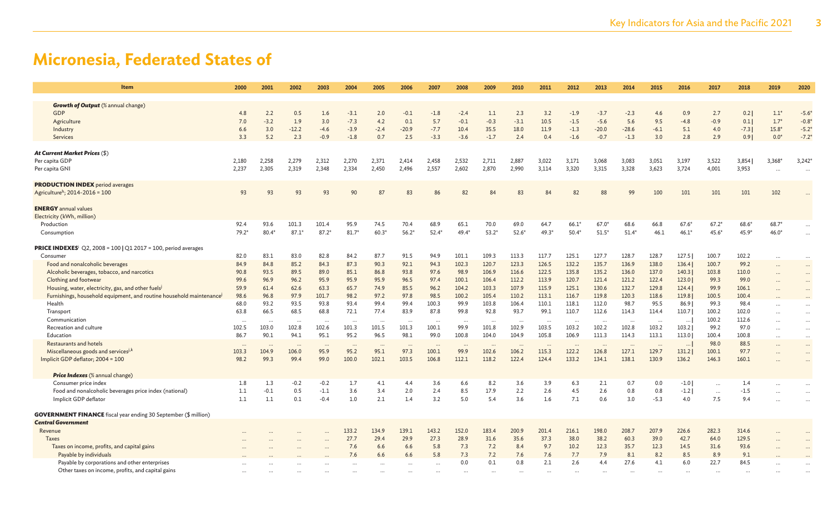| Item                                                                                                                                                                                                                                                                                                                                                                                                                                                                                                                                                                                                                                                                                              | 2000                                                                                                                            | 2001                                                                                                                                | 2002                                                                                                                               | 2003                                                                                                                                                 | 2004                                                                                                                            | 2005                                                                                                                             | 2006                                                                                                                            | 2007                                                                                                                                            | 2008                                                                                                                                 | 2009                                                                                                                                                   | 2010                                                                                                                                                  | 2011                                                                                                                             | 2012                                                                                                                                       | 2013                                                                                                                                      | 2014                                                                                                                                     | 2015                                                                                                                                | 2016                                                                                                                                                        | 2017                                                                                                                                     | 2018                                                                                                                                         | 2019                                  | 2020                                                                 |
|---------------------------------------------------------------------------------------------------------------------------------------------------------------------------------------------------------------------------------------------------------------------------------------------------------------------------------------------------------------------------------------------------------------------------------------------------------------------------------------------------------------------------------------------------------------------------------------------------------------------------------------------------------------------------------------------------|---------------------------------------------------------------------------------------------------------------------------------|-------------------------------------------------------------------------------------------------------------------------------------|------------------------------------------------------------------------------------------------------------------------------------|------------------------------------------------------------------------------------------------------------------------------------------------------|---------------------------------------------------------------------------------------------------------------------------------|----------------------------------------------------------------------------------------------------------------------------------|---------------------------------------------------------------------------------------------------------------------------------|-------------------------------------------------------------------------------------------------------------------------------------------------|--------------------------------------------------------------------------------------------------------------------------------------|--------------------------------------------------------------------------------------------------------------------------------------------------------|-------------------------------------------------------------------------------------------------------------------------------------------------------|----------------------------------------------------------------------------------------------------------------------------------|--------------------------------------------------------------------------------------------------------------------------------------------|-------------------------------------------------------------------------------------------------------------------------------------------|------------------------------------------------------------------------------------------------------------------------------------------|-------------------------------------------------------------------------------------------------------------------------------------|-------------------------------------------------------------------------------------------------------------------------------------------------------------|------------------------------------------------------------------------------------------------------------------------------------------|----------------------------------------------------------------------------------------------------------------------------------------------|---------------------------------------|----------------------------------------------------------------------|
| <b>Growth of Output</b> (% annual change)<br>GDP<br>Agriculture<br>Industry<br>Services                                                                                                                                                                                                                                                                                                                                                                                                                                                                                                                                                                                                           | 4.8<br>7.0<br>6.6<br>3.3                                                                                                        | 2.2<br>$-3.2$<br>3.0<br>5.2                                                                                                         | 0.5<br>1.9<br>$-12.2$<br>2.3                                                                                                       | 1.6<br>3.0<br>$-4.6$<br>$-0.9$                                                                                                                       | $-3.1$<br>$-7.3$<br>$-3.9$<br>$-1.8$                                                                                            | 2.0<br>4.2<br>$-2.4$<br>0.7                                                                                                      | $-0.1$<br>0.1<br>$-20.9$<br>2.5                                                                                                 | $-1.8$<br>5.7<br>$-7.7$<br>$-3.3$                                                                                                               | $-2.4$<br>$-0.1$<br>10.4<br>$-3.6$                                                                                                   | 1.1<br>$-0.3$<br>35.5<br>$-1.7$                                                                                                                        | 2.3<br>$-3.1$<br>18.0<br>2.4                                                                                                                          | 3.2<br>10.5<br>11.9<br>0.4                                                                                                       | $-1.9$<br>$-1.5$<br>$-1.3$<br>$-1.6$                                                                                                       | $-3.7$<br>$-5.6$<br>$-20.0$<br>$-0.7$                                                                                                     | $-2.3$<br>5.6<br>$-28.6$<br>$-1.3$                                                                                                       | 4.6<br>9.5<br>$-6.1$<br>3.0                                                                                                         | 0.9<br>$-4.8$<br>5.1<br>2.8                                                                                                                                 | 2.7<br>$-0.9$<br>4.0<br>2.9                                                                                                              | 0.2<br>0.1<br>$-7.3$<br>0.9                                                                                                                  | $1.1*$<br>$1.7*$<br>$15.8*$<br>$0.0*$ | $-5.6*$<br>$-0.8$<br>$-5.2$<br>$-7.2$                                |
| <b>At Current Market Prices (\$)</b><br>Per capita GDP<br>Per capita GNI                                                                                                                                                                                                                                                                                                                                                                                                                                                                                                                                                                                                                          | 2,180<br>2,237                                                                                                                  | 2,258<br>2,305                                                                                                                      | 2,279<br>2,319                                                                                                                     | 2,312<br>2,348                                                                                                                                       | 2,270<br>2,334                                                                                                                  | 2,371<br>2,450                                                                                                                   | 2,414<br>2,496                                                                                                                  | 2,458<br>2,557                                                                                                                                  | 2,532<br>2,602                                                                                                                       | 2,711<br>2,870                                                                                                                                         | 2,887<br>2,990                                                                                                                                        | 3,022<br>3,114                                                                                                                   | 3,171<br>3,320                                                                                                                             | 3,068<br>3,315                                                                                                                            | 3,083<br>3,328                                                                                                                           | 3,051<br>3,623                                                                                                                      | 3,197<br>3,724                                                                                                                                              | 3,522<br>4,001                                                                                                                           | 3,854<br>3,953                                                                                                                               | 3,368*                                | 3,242<br>$\cdots$                                                    |
| <b>PRODUCTION INDEX</b> period averages<br>Agriculture <sup>h</sup> ; 2014-2016 = 100<br><b>ENERGY</b> annual values                                                                                                                                                                                                                                                                                                                                                                                                                                                                                                                                                                              | 93                                                                                                                              | 93                                                                                                                                  | 93                                                                                                                                 | 93                                                                                                                                                   | 90                                                                                                                              | 87                                                                                                                               | 83                                                                                                                              | 86                                                                                                                                              | 82                                                                                                                                   | 84                                                                                                                                                     | 83                                                                                                                                                    | 84                                                                                                                               | 82                                                                                                                                         | 88                                                                                                                                        | 99                                                                                                                                       | 100                                                                                                                                 | 101                                                                                                                                                         | 101                                                                                                                                      | 101                                                                                                                                          | 102                                   |                                                                      |
| Electricity (kWh, million)<br>Production<br>Consumption                                                                                                                                                                                                                                                                                                                                                                                                                                                                                                                                                                                                                                           | 92.4<br>$79.2*$                                                                                                                 | 93.6<br>$80.4*$                                                                                                                     | 101.3<br>$87.1*$                                                                                                                   | 101.4<br>$87.2*$                                                                                                                                     | 95.9<br>$81.7*$                                                                                                                 | 74.5<br>$60.3*$                                                                                                                  | 70.4<br>$56.2*$                                                                                                                 | 68.9<br>$52.4*$                                                                                                                                 | 65.1<br>$49.4*$                                                                                                                      | 70.0<br>$53.2*$                                                                                                                                        | 69.0<br>$52.6*$                                                                                                                                       | 64.7<br>49.3*                                                                                                                    | $66.1*$<br>$50.4*$                                                                                                                         | $67.0*$<br>$51.5*$                                                                                                                        | 68.6<br>$51.4*$                                                                                                                          | 66.8<br>46.1                                                                                                                        | $67.6*$<br>$46.1*$                                                                                                                                          | $67.2*$<br>$45.6*$                                                                                                                       | $68.6*$<br>$45.9*$                                                                                                                           | $68.7*$<br>$46.0*$                    |                                                                      |
| <b>PRICE INDEXES</b> <sup>i</sup> Q2, 2008 = 100   Q1 2017 = 100, period averages<br>Consumer<br>Food and nonalcoholic beverages<br>Alcoholic beverages, tobacco, and narcotics<br>Clothing and footwear<br>Housing, water, electricity, gas, and other fuels<br>Furnishings, household equipment, and routine household maintenance<br>Health<br>Transport<br>Communication<br>Recreation and culture<br>Education<br><b>Restaurants and hotels</b><br>Miscellaneous goods and services <sup>j,k</sup><br>Implicit GDP deflator; 2004 = 100<br><b>Price Indexes</b> (% annual change)<br>Consumer price index<br>Food and nonalcoholic beverages price index (national)<br>Implicit GDP deflator | 82.0<br>84.9<br>90.8<br>99.6<br>59.9<br>98.6<br>68.0<br>63.8<br>102.5<br>86.7<br>$\cdots$<br>103.3<br>98.2<br>1.8<br>1.1<br>1.1 | 83.1<br>84.8<br>93.5<br>96.9<br>61.4<br>96.8<br>93.2<br>66.5<br>103.0<br>90.1<br>$\ddotsc$<br>104.9<br>99.3<br>1.3<br>$-0.1$<br>1.1 | 83.0<br>85.2<br>89.5<br>96.2<br>62.6<br>97.9<br>93.5<br>68.5<br>102.8<br>94.1<br>$\cdots$<br>106.0<br>99.4<br>$-0.2$<br>0.5<br>0.1 | 82.8<br>84.3<br>89.0<br>95.9<br>63.3<br>101.7<br>93.8<br>68.8<br>$\ddots$<br>102.6<br>95.1<br>$\cdots$<br>95.9<br>99.0<br>$-0.2$<br>$-1.1$<br>$-0.4$ | 84.2<br>87.3<br>85.1<br>95.9<br>65.7<br>98.2<br>93.4<br>72.1<br>101.3<br>95.2<br>$\cdots$<br>95.2<br>100.0<br>1.7<br>3.6<br>1.0 | 87.7<br>90.3<br>86.8<br>95.9<br>74.9<br>97.2<br>99.4<br>77.4<br>101.5<br>96.5<br>$\cdot$ .<br>95.1<br>102.1<br>4.1<br>3.4<br>2.1 | 91.5<br>92.1<br>93.8<br>96.5<br>85.5<br>97.8<br>99.4<br>83.9<br>101.3<br>98.1<br>$\cdots$<br>97.3<br>103.5<br>4.4<br>2.0<br>1.4 | 94.9<br>94.3<br>97.6<br>97.4<br>96.2<br>98.5<br>100.3<br>87.8<br>$\ddotsc$<br>100.1<br>99.0<br>$\ddotsc$<br>100.1<br>106.8<br>3.6<br>2.4<br>3.2 | 101.1<br>102.3<br>98.9<br>100.1<br>104.2<br>100.2<br>99.9<br>99.8<br>99.9<br>100.8<br>$\cdots$<br>99.9<br>112.1<br>6.6<br>8.5<br>5.0 | 109.3<br>120.7<br>106.9<br>106.4<br>103.3<br>105.4<br>103.8<br>92.8<br>$\ldots$<br>101.8<br>104.0<br>$\ddotsc$<br>102.6<br>118.2<br>8.2<br>17.9<br>5.4 | 113.3<br>123.3<br>116.6<br>112.2<br>107.9<br>110.2<br>106.4<br>93.7<br>$\cdot$ .<br>102.9<br>104.9<br>$\cdots$<br>106.2<br>122.4<br>3.6<br>2.2<br>3.6 | 117.7<br>126.5<br>122.5<br>113.9<br>115.9<br>113.1<br>110.1<br>99.1<br>103.5<br>105.8<br><br>115.3<br>124.4<br>3.9<br>2.6<br>1.6 | 125.1<br>132.2<br>135.8<br>120.7<br>125.1<br>116.7<br>118.1<br>110.7<br>103.2<br>106.9<br>$\ddotsc$<br>122.2<br>133.2<br>6.3<br>4.5<br>7.1 | 127.7<br>135.7<br>135.2<br>121.4<br>130.6<br>119.8<br>112.0<br>112.6<br>102.2<br>111.3<br>$\cdots$<br>126.8<br>134.1<br>2.1<br>2.6<br>0.6 | 128.7<br>136.9<br>136.0<br>121.2<br>132.7<br>120.3<br>98.7<br>114.3<br>102.8<br>114.3<br>$\cdots$<br>127.1<br>138.1<br>0.7<br>0.8<br>3.0 | 128.7<br>138.0<br>137.0<br>122.4<br>129.8<br>118.6<br>95.5<br>114.4<br>103.2<br>113.1<br><br>129.7<br>130.9<br>0.0<br>0.8<br>$-5.3$ | 127.5<br>136.4<br>140.3<br>123.0<br>124.4<br>119.8<br>86.9<br>110.7<br>$\dots$<br>103.2<br>113.0<br>$\cdots$<br>131.2<br>136.2<br>$-1.0$<br>$-1.2$  <br>4.0 | 100.7<br>100.7<br>103.8<br>99.3<br>99.9<br>100.5<br>99.3<br>100.2<br>100.2<br>99.2<br>100.4<br>98.0<br>100.1<br>146.3<br>$\cdots$<br>7.5 | 102.2<br>99.2<br>110.0<br>99.0<br>106.1<br>100.4<br>98.4<br>102.0<br>112.6<br>97.0<br>100.8<br>88.5<br>97.7<br>160.1<br>1.4<br>$-1.5$<br>9.4 |                                       | $\cdots$<br>$\cdots$<br>$\cdots$<br>$\cdots$<br>$\cdots$<br>$\cdots$ |
| <b>GOVERNMENT FINANCE</b> fiscal year ending 30 September (\$ million)<br><b>Central Government</b><br>Revenue<br><b>Taxes</b><br>Taxes on income, profits, and capital gains<br>Payable by individuals                                                                                                                                                                                                                                                                                                                                                                                                                                                                                           |                                                                                                                                 |                                                                                                                                     |                                                                                                                                    |                                                                                                                                                      | 133.2<br>27.7<br>7.6<br>7.6                                                                                                     | 134.9<br>29.4<br>6.6<br>6.6                                                                                                      | 139.1<br>29.9<br>6.6<br>6.6                                                                                                     | 143.2<br>27.3<br>5.8<br>5.8                                                                                                                     | 152.0<br>28.9<br>7.3<br>7.3                                                                                                          | 183.4<br>31.6<br>7.2<br>7.2                                                                                                                            | 200.9<br>35.6<br>8.4<br>7.6                                                                                                                           | 201.4<br>37.3<br>9.7<br>7.6                                                                                                      | 216.1<br>38.0<br>10.2<br>7.7                                                                                                               | 198.0<br>38.2<br>12.3<br>7.9                                                                                                              | 208.7<br>60.3<br>35.7<br>8.1                                                                                                             | 207.9<br>39.0<br>12.3<br>8.2                                                                                                        | 226.6<br>42.7<br>14.5<br>8.5                                                                                                                                | 282.3<br>64.0<br>31.6<br>8.9                                                                                                             | 314.6<br>129.5<br>93.6<br>9.1                                                                                                                |                                       |                                                                      |
| Payable by corporations and other enterprises<br>Other taxes on income, profits, and capital gains                                                                                                                                                                                                                                                                                                                                                                                                                                                                                                                                                                                                |                                                                                                                                 |                                                                                                                                     |                                                                                                                                    |                                                                                                                                                      |                                                                                                                                 |                                                                                                                                  |                                                                                                                                 |                                                                                                                                                 | 0.0                                                                                                                                  | 0.1                                                                                                                                                    | 0.8                                                                                                                                                   | 2.1                                                                                                                              | 2.6                                                                                                                                        | 4.4                                                                                                                                       | 27.6                                                                                                                                     | 4.1                                                                                                                                 | 6.0                                                                                                                                                         | 22.7                                                                                                                                     | 84.5                                                                                                                                         |                                       |                                                                      |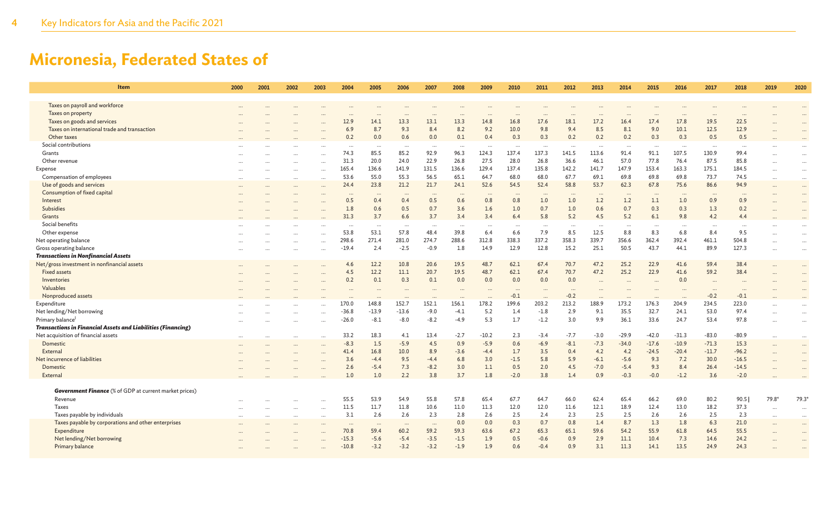| Item                                                          | 2000 | 2001   | 2002                 | 2003      | 2004     | 2005     | 2006     | 2007     | 2008     | 2009                 | 2010     | 2011     | 2012   | 2013     | 2014     | 2015     | 2016      | 2017     | 2018     | 2019      | 2020         |
|---------------------------------------------------------------|------|--------|----------------------|-----------|----------|----------|----------|----------|----------|----------------------|----------|----------|--------|----------|----------|----------|-----------|----------|----------|-----------|--------------|
| Taxes on payroll and workforce                                |      |        |                      |           |          |          |          |          |          |                      |          |          |        |          |          |          |           |          |          |           |              |
| Taxes on property                                             |      |        |                      |           |          |          |          | $\cdots$ |          |                      |          |          |        | $\cdots$ |          |          | $\cdot$   |          |          |           |              |
| Taxes on goods and services                                   |      |        |                      |           | 12.9     | 14.1     | 13.3     | 13.1     | 13.3     | 14.8                 | 16.8     | 17.6     | 18.1   | 17.2     | 16.4     | 17.4     | 17.8      | 19.5     | 22.5     |           | $\cdot\cdot$ |
| Taxes on international trade and transaction                  |      |        |                      |           | 6.9      | 8.7      | 9.3      | 8.4      | 8.2      | 9.2                  | 10.0     | 9.8      | 9.4    | 8.5      | 8.1      | 9.0      | 10.1      | 12.5     | 12.9     |           | $\cdots$     |
| Other taxes                                                   |      |        |                      |           | 0.2      | 0.0      | 0.6      | 0.0      | 0.1      | 0.4                  | 0.3      | 0.3      | 0.2    | 0.2      | 0.2      | 0.3      | 0.3       | 0.5      | 0.5      |           |              |
| Social contributions                                          |      |        |                      |           | $\cdots$ | $\cdots$ | $\cdots$ | $\cdots$ |          |                      |          | $\cdots$ |        | $\cdots$ | $\cdots$ | $\cdots$ | $\cdot$ . |          | $\cdots$ |           |              |
| Grants                                                        |      |        |                      |           | 74.3     | 85.5     | 85.2     | 92.9     | 96.3     | 124.3                | 137.4    | 137.3    | 141.5  | 113.6    | 91.4     | 91.1     | 107.5     | 130.9    | 99.4     |           | $\ddotsc$    |
| Other revenue                                                 |      |        |                      |           | 31.3     | 20.0     | 24.0     | 22.9     | 26.8     | 27.5                 | 28.0     | 26.8     | 36.6   | 46.1     | 57.0     | 77.8     | 76.4      | 87.5     | 85.8     | $\cdots$  | $\cdots$     |
| Expense                                                       |      |        | $\cdots$             |           | 165.4    | 136.6    | 141.9    | 131.5    | 136.6    | 129.4                | 137.4    | 135.8    | 142.2  | 141.7    | 147.9    | 153.4    | 163.3     | 175.1    | 184.5    | $\cdots$  | $\cdots$     |
| Compensation of employees                                     |      |        | $\ddot{\phantom{a}}$ |           | 53.6     | 55.0     | 55.3     | 56.5     | 65.1     | 64.7                 | 68.0     | 68.0     | 67.7   | 69.1     | 69.8     | 69.8     | 69.8      | 73.7     | 74.5     |           | $\cdots$     |
| Use of goods and services                                     |      |        |                      |           | 24.4     | 23.8     | 21.2     | 21.7     | 24.1     | 52.6                 | 54.5     | 52.4     | 58.8   | 53.7     | 62.3     | 67.8     | 75.6      | 86.6     | 94.9     | $\cdots$  | $\cdots$     |
| Consumption of fixed capital                                  |      |        |                      |           | $\cdots$ | $\cdots$ |          | $\cdots$ | $\cdots$ | $\ddot{\phantom{a}}$ |          | $\cdots$ |        | $\cdots$ | $\cdots$ |          | $\cdots$  | $\cdots$ | $\cdots$ |           | $\cdots$     |
| Interest                                                      |      |        |                      |           | 0.5      | 0.4      | 0.4      | 0.5      | 0.6      | 0.8                  | 0.8      | 1.0      | 1.0    | 1.2      | 1.2      | 1.1      | 1.0       | 0.9      | 0.9      |           |              |
| Subsidies                                                     |      |        |                      |           | 1.8      | 0.6      | 0.5      | 0.7      | 3.6      | 1.6                  | 1.0      | 0.7      | 1.0    | 0.6      | 0.7      | 0.3      | 0.3       | 1.3      | 0.2      |           | $\cdots$     |
| Grants                                                        |      |        |                      |           | 31.3     | 3.7      | 6.6      | 3.7      | 3.4      | 3.4                  | 6.4      | 5.8      | 5.2    | 4.5      | 5.2      | 6.1      | 9.8       | 4.2      | 4.4      |           |              |
| Social benefits                                               |      |        |                      |           | $\cdots$ | $\cdots$ | $\cdots$ | $\cdots$ | $\cdots$ | $\cdots$             |          | $\cdots$ |        | $\cdots$ | $\cdots$ | $\cdots$ | $\cdots$  |          | $\cdots$ |           |              |
| Other expense                                                 |      |        |                      |           | 53.8     | 53.1     | 57.8     | 48.4     | 39.8     | 6.4                  | 6.6      | 7.9      | 8.5    | 12.5     | 8.8      | 8.3      | 6.8       | 8.4      | 9.5      | $\cdots$  | $\cdot$      |
| Net operating balance                                         |      |        |                      |           | 298.6    | 271.4    | 281.0    | 274.7    | 288.6    | 312.8                | 338.3    | 337.2    | 358.3  | 339.7    | 356.6    | 362.4    | 392.4     | 461.1    | 504.8    |           | $\ddotsc$    |
| Gross operating balance                                       |      |        |                      |           | $-19.4$  | 2.4      | $-2.5$   | $-0.9$   | 1.8      | 14.9                 | 12.9     | 12.8     | 15.2   | 25.1     | 50.5     | 43.7     | 44.1      | 89.9     | 127.3    |           | $\cdots$     |
| <b>Transactions in Nonfinancial Assets</b>                    |      |        |                      |           |          |          |          |          |          |                      |          |          |        |          |          |          |           |          |          |           |              |
| Net/gross investment in nonfinancial assets                   |      |        |                      |           | 4.6      | 12.2     | 10.8     | 20.6     | 19.5     | 48.7                 | 62.1     | 67.4     | 70.7   | 47.2     | 25.2     | 22.9     | 41.6      | 59.4     | 38.4     |           |              |
| <b>Fixed assets</b>                                           |      |        |                      |           | 4.5      | 12.2     | 11.1     | 20.7     | 19.5     | 48.7                 | 62.1     | 67.4     | 70.7   | 47.2     | 25.2     | 22.9     | 41.6      | 59.2     | 38.4     |           | $\cdots$     |
| Inventories                                                   |      |        |                      |           | 0.2      | 0.1      | 0.3      | 0.1      | 0.0      | 0.0                  | 0.0      | 0.0      | 0.0    | $\ddots$ |          |          | 0.0       |          |          |           |              |
| Valuables                                                     |      |        |                      |           | $\cdots$ | $\ddots$ | $\cdots$ | $\cdots$ | $\cdots$ |                      | $\cdots$ | $\cdots$ |        | $\cdots$ | $\cdots$ | $\cdots$ | $\cdots$  | $\cdots$ | $\cdots$ |           | $\cdots$     |
| Nonproduced assets                                            |      |        |                      |           |          |          |          |          |          |                      | $-0.1$   |          | $-0.2$ |          |          |          |           | $-0.2$   | $-0.1$   |           |              |
| Expenditure                                                   |      |        |                      |           | 170.0    | 148.8    | 152.7    | 152.1    | 156.1    | 178.2                | 199.6    | 203.2    | 213.2  | 188.9    | 173.2    | 176.3    | 204.9     | 234.5    | 223.0    |           | $\ddotsc$    |
| Net lending/Net borrowing                                     |      |        |                      |           | $-36.8$  | $-13.9$  | $-13.6$  | $-9.0$   | $-4.1$   | 5.2                  | 1.4      | $-1.8$   | 2.9    | 9.1      | 35.5     | 32.7     | 24.1      | 53.0     | 97.4     |           | $\ddots$     |
| Primary balance <sup>l</sup>                                  |      |        |                      |           | $-26.0$  | $-8.1$   | $-8.0$   | $-8.2$   | $-4.9$   | 5.3                  | 1.7      | $-1.2$   | 3.0    | 9.9      | 36.1     | 33.6     | 24.7      | 53.4     | 97.8     |           | $\cdots$     |
| Transactions in Financial Assets and Liabilities (Financing)  |      |        |                      |           |          |          |          |          |          |                      |          |          |        |          |          |          |           |          |          |           |              |
| Net acquisition of financial assets                           |      |        | $\ddotsc$            |           | 33.2     | 18.3     | 4.1      | 13.4     | $-2.7$   | $-10.2$              | 2.3      | $-3.4$   | $-7.7$ | $-3.0$   | $-29.9$  | $-42.0$  | $-31.3$   | $-83.0$  | -80.9    | $\cdots$  | $\cdots$     |
| Domestic                                                      |      |        |                      |           | $-8.3$   | 1.5      | $-5.9$   | 4.5      | 0.9      | $-5.9$               | 0.6      | $-6.9$   | $-8.1$ | $-7.3$   | $-34.0$  | $-17.6$  | $-10.9$   | $-71.3$  | 15.3     | $\ddots$  | $\cdots$     |
| External                                                      |      |        |                      |           | 41.4     | 16.8     | 10.0     | 8.9      | $-3.6$   | $-4.4$               | 1.7      | 3.5      | 0.4    | 4.2      | 4.2      | $-24.5$  | $-20.4$   | $-11.7$  | $-96.2$  | $\cdots$  | $\cdots$     |
| Net incurrence of liabilities                                 |      |        |                      |           | 3.6      | $-4.4$   | 9.5      | $-4.4$   | 6.8      | 3.0                  | $-1.5$   | 5.8      | 5.9    | $-6.1$   | $-5.6$   | 9.3      | 7.2       | 30.0     | $-16.5$  |           |              |
| Domestic                                                      |      |        |                      |           | 2.6      | $-5.4$   | 7.3      | $-8.2$   | 3.0      | 1.1                  | 0.5      | 2.0      | 4.5    | $-7.0$   | $-5.4$   | 9.3      | 8.4       | 26.4     | $-14.5$  |           |              |
| External                                                      |      |        |                      |           | 1.0      | 1.0      | 2.2      | 3.8      | 3.7      | 1.8                  | $-2.0$   | 3.8      | 1.4    | 0.9      | $-0.3$   | $-0.0$   | $-1.2$    | 3.6      | $-2.0$   |           |              |
|                                                               |      |        |                      |           |          |          |          |          |          |                      |          |          |        |          |          |          |           |          |          |           |              |
| <b>Government Finance</b> (% of GDP at current market prices) |      |        |                      |           |          |          |          |          |          |                      |          |          |        |          |          |          |           |          |          |           |              |
| Revenue                                                       |      |        |                      |           | 55.5     | 53.9     | 54.9     | 55.8     | 57.8     | 65.4                 | 67.7     | 64.7     | 66.0   | 62.4     | 65.4     | 66.2     | 69.0      | 80.2     | 90.5     | 79.8*     | 79.3*        |
| Taxes                                                         |      |        | $\ddotsc$            |           | 11.5     | 11.7     | 11.8     | 10.6     | 11.0     | 11.3                 | 12.0     | 12.0     | 11.6   | 12.1     | 18.9     | 12.4     | 13.0      | 18.2     | 37.3     | $\ldots$  | $\ldots$     |
| Taxes payable by individuals                                  |      | $\sim$ | $\ddotsc$            | $\ddotsc$ | 3.1      | 2.6      | 2.6      | 2.3      | 2.8      | 2.6                  | 2.5      | 2.4      | 2.3    | 2.5      | 2.5      | 2.6      | 2.6       | 2.5      | 2.3      | $\cdots$  | $\cdots$     |
| Taxes payable by corporations and other enterprises           |      |        |                      |           | $\cdots$ | $\cdots$ | $\cdots$ | $\cdots$ | 0.0      | 0.0                  | 0.3      | 0.7      | 0.8    | 1.4      | 8.7      | 1.3      | 1.8       | 6.3      | 21.0     | $\ddots$  | $\cdots$     |
| Expenditure                                                   |      |        |                      |           | 70.8     | 59.4     | 60.2     | 59.2     | 59.3     | 63.6                 | 67.2     | 65.3     | 65.1   | 59.6     | 54.2     | 55.9     | 61.8      | 64.5     | 55.5     | $\ddotsc$ | $\cdots$     |
| Net lending/Net borrowing                                     |      |        |                      |           | $-15.3$  | $-5.6$   | $-5.4$   | $-3.5$   | $-1.5$   | 1.9                  | 0.5      | $-0.6$   | 0.9    | 2.9      | 11.1     | 10.4     | 7.3       | 14.6     | 24.2     |           | $\ddotsc$    |
| Primary balance                                               |      |        |                      |           | $-10.8$  | $-3.2$   | $-3.2$   | $-3.2$   | $-1.9$   | 1.9                  | 0.6      | $-0.4$   | 0.9    | 3.1      | 11.3     | 14.1     | 13.5      | 24.9     | 24.3     |           |              |
|                                                               |      |        |                      |           |          |          |          |          |          |                      |          |          |        |          |          |          |           |          |          |           |              |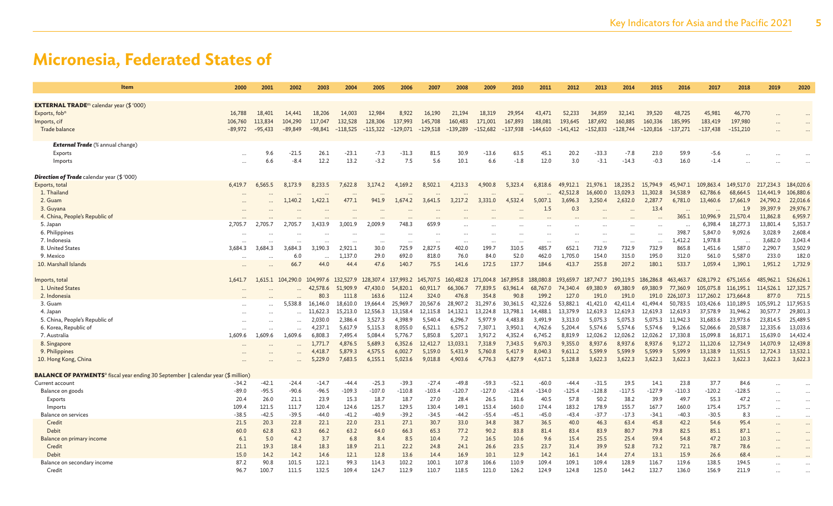| <b>Item</b>                                                                                         | 2000         | 2001          | 2002                | 2003                          | 2004                | 2005                | 2006                          | 2007                          | 2008                 | 2009                | 2010                | 2011                | 2012                          | 2013                | 2014                | 2015                | 2016                 | 2017                 | 2018                 | 2019                 | 2020                 |
|-----------------------------------------------------------------------------------------------------|--------------|---------------|---------------------|-------------------------------|---------------------|---------------------|-------------------------------|-------------------------------|----------------------|---------------------|---------------------|---------------------|-------------------------------|---------------------|---------------------|---------------------|----------------------|----------------------|----------------------|----------------------|----------------------|
|                                                                                                     |              |               |                     |                               |                     |                     |                               |                               |                      |                     |                     |                     |                               |                     |                     |                     |                      |                      |                      |                      |                      |
| <b>EXTERNAL TRADE</b> <sup>m</sup> calendar year $(\$ \ '000)$<br>Exports, fob <sup>n</sup>         | 16,788       | 18,401        | 14,441              | 18,206                        | 14,003              | 12,984              | 8,922                         | 16,190                        | 21,194               | 18,319              | 29,954              | 43,471              | 52,233                        | 34,859              | 32,141              | 39,520              | 48,725               | 45,981               | 46,770               |                      |                      |
| Imports, cif                                                                                        | 106,760      | 113,834       | 104,290             | 117,047                       | 132,528             | 128,306             | 137,993                       | 145,708                       | 160,483              | 171,001             | 167,893             | 188,081             | 193,645                       | 187,692             | 160,885             | 160,336             | 185,995              | 183,419              | 197,980              |                      |                      |
| Trade balance                                                                                       | $-89,972$    | $-95,433$     | $-89.849$           | $-98,841$                     | $-118,525$          | $-115,322$          | $-129,071$                    | $-129,518$                    | $-139,289$           | $-152,682$          | $-137,938$          | $-144,610$          | $-141,412$                    | $-152,833$          | $-128,744$          | $-120,816$          | $-137,271$           | $-137,438$           | $-151,210$           |                      |                      |
|                                                                                                     |              |               |                     |                               |                     |                     |                               |                               |                      |                     |                     |                     |                               |                     |                     |                     |                      |                      |                      |                      |                      |
| <b>External Trade</b> (% annual change)                                                             |              |               |                     |                               |                     |                     |                               |                               |                      |                     |                     |                     |                               |                     |                     |                     |                      |                      |                      |                      |                      |
| Exports                                                                                             |              | 9.6           | $-21.5$             | 26.1                          | $-23.1$             | $-7.3$              | $-31.3$                       | 81.5                          | 30.9                 | $-13.6$             | 63.5                | 45.1                | 20.2                          | $-33.3$             | $-7.8$              | 23.0                | 59.9                 | $-5.6$               |                      |                      |                      |
| Imports                                                                                             |              | 6.6           | $-8.4$              | 12.2                          | 13.2                | $-3.2$              | 7.5                           | 5.6                           | 10.1                 | 6.6                 | $-1.8$              | 12.0                | 3.0                           | $-3.1$              | $-14.3$             | $-0.3$              | 16.0                 | $-1.4$               |                      |                      |                      |
| <b>Direction of Trade</b> calendar year (\$ '000)                                                   |              |               |                     |                               |                     |                     |                               |                               |                      |                     |                     |                     |                               |                     |                     |                     |                      |                      |                      |                      |                      |
| Exports, total                                                                                      | 6,419.7      | 6.565.5       | 8,173.9             | 8,233.5                       | 7,622.8             | 3,174.2             | 4,169.2                       | 8,502.1                       | 4,213.3              | 4,900.8             | 5,323.4             | 6,818.6             | 49,912.1                      | 21,976.1            | 18,235.2            | 15,794.9            | 45,947.1             | 109,863.4            | 149,517.0            | 217,234.3            | 184,020.6            |
| 1. Thailand                                                                                         |              |               |                     |                               |                     |                     |                               |                               | $\ddot{\phantom{a}}$ |                     |                     |                     | 42,512.8                      | 16,600.0            | 13,029.3            | 11,302.8            | 34,538.9             | 62,786.6             | 68,664.5             | 114,441.9            | 106,880.6            |
| 2. Guam                                                                                             |              |               | 1,140.2             | 1,422.1                       | 477.1               | 941.9               | 1,674.2                       | 3,641.5                       | 3,217.2              | 3,331.0             | 4,532.4             | 5,007.1             | 3,696.3                       | 3,250.4             | 2,632.0             | 2,287.7             | 6,781.0              | 13,460.6             | 17,661.9             | 24,790.2             | 22,016.6             |
| 3. Guyana                                                                                           |              |               |                     |                               |                     |                     |                               |                               |                      |                     |                     | 1.5                 | 0.3                           |                     |                     | 13.4                |                      |                      | 1.9                  | 39,397.9             | 29,976.7             |
| 4. China, People's Republic of                                                                      |              |               |                     |                               |                     |                     |                               |                               |                      |                     |                     |                     |                               |                     |                     |                     | 365.1                | 10,996.9             | 21,570.4             | 11,862.8             | 6,959.7              |
| 5. Japan                                                                                            | 2,705.7      | 2.705.7       | 2.705.              | 3.433.9                       | 3.001.9             | 2.009.9             | 748.3                         | 659.9                         |                      |                     |                     |                     |                               |                     |                     |                     | 398.7                | 6,398.4              | 18,277.3<br>9,092.6  | 13,801.4<br>3,028.9  | 5,353.7<br>2,608.4   |
| 6. Philippines<br>7. Indonesia                                                                      |              |               |                     |                               |                     |                     |                               |                               |                      |                     |                     |                     |                               |                     |                     |                     | 1,412.2              | 5,847.0<br>1,978.8   |                      | 3,682.0              | 3,043.4              |
| 8. United States                                                                                    | 3.684.3      | 3,684.3       | $\cdots$<br>3.684.3 | 3,190.3                       | $\cdots$<br>2,921.1 | $\cdots$<br>30.0    | $\ddot{\phantom{0}}$<br>725.9 | $\cdots$<br>2,827.5           | $\cdots$<br>402.0    | $\cdot$<br>199.7    | 310.5               | 485.7               | $\cdots$<br>652.1             | 732.9               | <br>732.9           | $\ddots$<br>732.9   | 865.8                | 1,451.6              | $\cdots$<br>1,587.0  | 2,290.7              | 3,502.9              |
| 9. Mexico                                                                                           |              |               | 6.0                 |                               | 1,137.0             | 29.0                | 692.0                         | 818.0                         | 76.0                 | 84.0                | 52.0                | 462.0               | 1,705.0                       | 154.0               | 315.0               | 195.0               | 312.0                | 561.0                | 5,587.0              | 233.0                | 182.0                |
| 10. Marshall Islands                                                                                |              |               | 66.7                | 44.0                          | 44.4                | 47.6                | 140.7                         | 75.5                          | 141.6                | 172.5               | 137.7               | 184.6               | 413.7                         | 255.8               | 207.2               | 180.1               | 533.7                | 1,059.4              | 1,390.1              | 1,951.2              | 1,732.9              |
|                                                                                                     |              |               |                     |                               |                     |                     |                               |                               |                      |                     |                     |                     |                               |                     |                     |                     |                      |                      |                      |                      |                      |
| Imports, total                                                                                      | 1,641.7      |               | 1.615.1 104.290.0   | 104,997.6 132,527.9 128,307.4 |                     |                     |                               | 137,993.2 145,707.5 160,482.8 |                      | 171,004.8 167,895.8 |                     | 188,080.8           | 193,659.7 187,747.7 190,119.5 |                     |                     | 186,286.8 463,463.7 |                      | 628,179.2            | 675,165.6            | 485,962.1            | 526,626.1            |
| 1. United States                                                                                    |              |               |                     | 42,578.6                      | 51,909.9            | 47,430.0            | 54,820.1                      | 60,911.7                      | 66,306.7             | 77,839.5            | 63,961.4            | 68,767.0            | 74,340.4                      | 69,380.9            | 69,380.9            | 69,380.9            | 77,360.9             | 105,075.8            | 116,195.1            | 114,526.1            | 127,325.7            |
| 2. Indonesia                                                                                        |              |               |                     | 80.3                          | 111.8               | 163.6               | 112.4                         | 324.0                         | 476.8                | 354.8               | 90.8                | 199.2               | 127.0                         | 191.0               | 191.0               |                     | 191.0 226,107.3      | 117,260.2            | 173,664.8            | 877.0                | 721.5                |
| 3. Guam                                                                                             |              |               | 5.538.8             | 16.146.0                      | 18.610.0            | 19.664.4            | 25,969.7                      | 20,567.6                      | 28,907.2             | 31,297.6            | 30.361.5            | 42,322.6            | 53.882.1                      | 41,421.0            | 42,411.4            | 41,494.4            | 50.783.5             | 103,426.6            | 110,189.5            | 105,591.2            | 117,953.5            |
| 4. Japan<br>5. China, People's Republic of                                                          |              |               |                     | 11,622.3<br>2.030.0           | 15,213.0<br>2,386.4 | 12,556.3<br>3,527.3 | 13,158.4<br>4.398.9           | 12,115.8<br>5.540.4           | 14,132.1<br>6,296.7  | 13,224.8            | 13,798.1<br>4,483.8 | 14,488.1<br>3,491.9 | 13,379.9<br>3.313.0           | 12,619.3<br>5,075.3 | 12,619.3<br>5,075.3 | 12,619.3            | 12,619.3<br>11,942.3 | 37,578.9<br>31,683.6 | 31,946.2<br>23,973.6 | 30,577.7<br>23,814.5 | 29,801.3<br>25,489.5 |
| 6. Korea, Republic of                                                                               |              |               |                     | 4,237.1                       | 5,617.9             | 5,115.3             | 8,055.0                       | 6,521.1                       | 6,575.2              | 5,977.9<br>7,307.1  | 3,950.1             | 4,762.6             | 5,204.4                       | 5,574.6             | 5,574.6             | 5,075.3<br>5.574.6  | 9,126.6              | 52,066.6             | 20,538.7             | 12,335.6             | 13,033.6             |
| 7. Australia                                                                                        | 1,609.6      | 1.609.6       | 1,609.6             | 6,808.3                       | 7,495.4             | 5,084.4             | 5,776.7                       | 5,850.8                       | 5,207.1              | 3,917.2             | 4,352.4             | 6,745.2             | 8,819.9                       | 12,026.2            | 12,026.2            | 12,026.2            | 17,330.8             | 15,099.8             | 16,817.1             | 15,639.0             | 14,432.4             |
| 8. Singapore                                                                                        |              |               |                     | 1,771.7                       | 4,876.5             | 5,689.3             | 6,352.6                       | 12,412.7                      | 13,033.1             | 7,318.9             | 7,343.5             | 9,670.3             | 9,355.0                       | 8,937.6             | 8.937.6             | 8,937.6             | 9,127.2              | 11,120.6             | 12,734.9             | 14,070.9             | 12,439.8             |
| 9. Philippines                                                                                      |              |               |                     | 4.418.7                       | 5.879.3             | 4,575.5             | 6,002.7                       | 5.159.0                       | 5.431.9              | 5,760.8             | 5.417.9             | 8,040.3             | 9.611.2                       | 5,599.9             | 5.599.9             | 5,599.9             | 5,599.9              | 13.138.9             | 11,551.5             | 12,724.3             | 13,532.1             |
| 10. Hong Kong, China                                                                                |              |               |                     | 5,229.0                       | 7,683.5             | 6,155.1             | 5,023.6                       | 9,018.8                       | 4,903.6              | 4,776.3             | 4,827.9             | 4,617.1             | 5,128.8                       | 3,622.3             | 3,622.3             | 3,622.3             | 3,622.3              | 3,622.3              | 3,622.3              | 3,622.3              | 3,622.3              |
| <b>BALANCE OF PAYMENTS<sup>o</sup></b> fiscal year ending 30 September   calendar year (\$ million) |              |               |                     |                               |                     |                     |                               |                               |                      |                     |                     |                     |                               |                     |                     |                     |                      |                      |                      |                      |                      |
| Current account                                                                                     | $-34.2$      | $-42.1$       | $-24.4$             | $-14.7$                       | $-44.4$             | $-25.3$             | $-39.3$                       | $-27.4$                       | $-49.8$              | $-59.3$             | $-52.1$             | $-60.0$             | $-44.4$                       | $-31.5$             | 19.5                | 14.1                | 23.8                 | 37.7                 | 84.6                 | $\ddotsc$            |                      |
| Balance on goods                                                                                    | $-89.0$      | $-95.5$       | $-90.6$             | $-96.5$                       | $-109.3$            | $-107.0$            | $-110.8$                      | $-103.4$                      | $-120.7$             | $-127.0$            | $-128.4$            | $-134.0$            | $-125.4$                      | $-128.8$            | $-117.5$            | $-127.9$            | $-110.3$             | $-120.2$             | $-128.5$             |                      | $\cdots$             |
| Exports                                                                                             | 20.4         | 26.0          | 21.1                | 23.9                          | 15.3                | 18.7                | 18.7                          | 27.0                          | 28.4                 | 26.5                | 31.6                | 40.5                | 57.8                          | 50.2                | 38.2                | 39.9                | 49.7                 | 55.3                 | 47.2                 |                      |                      |
| Imports                                                                                             | 109.4        | 121.5         | 111.7               | 120.4                         | 124.6               | 125.7               | 129.5                         | 130.4                         | 149.1                | 153.4               | 160.0               | 174.4               | 183.2                         | 178.9               | 155.7               | 167.7               | 160.0                | 175.4                | 175.7                |                      | $\cdots$             |
| Balance on services                                                                                 | $-38.5$      | $-42.5$       | $-39.5$             | $-44.0$                       | $-41.2$             | $-40.9$             | $-39.2$                       | $-34.5$                       | $-44.2$              | $-55.4$             | $-45.1$             | -45.0               | $-43.4$                       | $-37.7$             | $-17.3$             | $-34.1$             | $-40.3$              | $-30.5$              | 8.3                  |                      | $\cdots$             |
| Credit                                                                                              | 21.5         | 20.3          | 22.8                | 22.1                          | 22.0                | 23.1                | 27.1                          | 30.7                          | 33.0                 | 34.8                | 38.7                | 36.5                | 40.0                          | 46.3                | 63.4                | 45.8                | 42.2                 | 54.6                 | 95.4                 |                      | $\cdots$             |
| Debit                                                                                               | 60.0         | 62.8          | 62.3                | 66.2                          | 63.2                | 64.0                | 66.3                          | 65.3                          | 77.2                 | 90.2                | 83.8                | 81.4                | 83.4                          | 83.9                | 80.7                | 79.8                | 82.5                 | 85.1                 | 87.1                 | $\cdots$             | $\cdots$             |
| Balance on primary income                                                                           | 6.1          | 5.0           | 4.2                 | 3.7                           | 6.8                 | 8.4                 | 8.5                           | 10.4                          | 7.2                  | 16.5                | 10.6                | 9.6                 | 15.4                          | 25.5                | 25.4                | 59.4                | 54.8                 | 47.2                 | 10.3                 | $\ddotsc$            |                      |
| Credit                                                                                              | 21.1         | 19.3          | 18.4                | 18.3                          | 18.9                | 21.1                | 22.2                          | 24.8                          | 24.1                 | 26.6                | 23.5                | 23.7                | 31.4                          | 39.9                | 52.8                | 73.2                | 72.1                 | 78.7                 | 78.6                 |                      |                      |
| Debit                                                                                               | 15.0         | 14.2          | 14.2                | 14.6                          | 12.1                | 12.8                | 13.6                          | 14.4                          | 16.9                 | 10.1                | 12.9                | 14.2                | 16.1                          | 14.4                | 27.4                | 13.1                | 15.9                 | 26.6                 | 68.4                 |                      |                      |
| Balance on secondary income<br>Credit                                                               | 87.2<br>96.7 | 90.8<br>100.7 | 101.5<br>111.5      | 122.1<br>132.5                | 99.3<br>109.4       | 114.3<br>124.7      | 102.2<br>112.9                | 100.1<br>110.7                | 107.8<br>118.5       | 106.6<br>121.0      | 110.9<br>126.2      | 109.4<br>124.9      | 109.1<br>124.8                | 109.4<br>125.0      | 128.9<br>144.2      | 116.7<br>132.7      | 119.6<br>136.0       | 138.5<br>156.9       | 194.5<br>211.9       |                      |                      |
|                                                                                                     |              |               |                     |                               |                     |                     |                               |                               |                      |                     |                     |                     |                               |                     |                     |                     |                      |                      |                      | $\cdots$             |                      |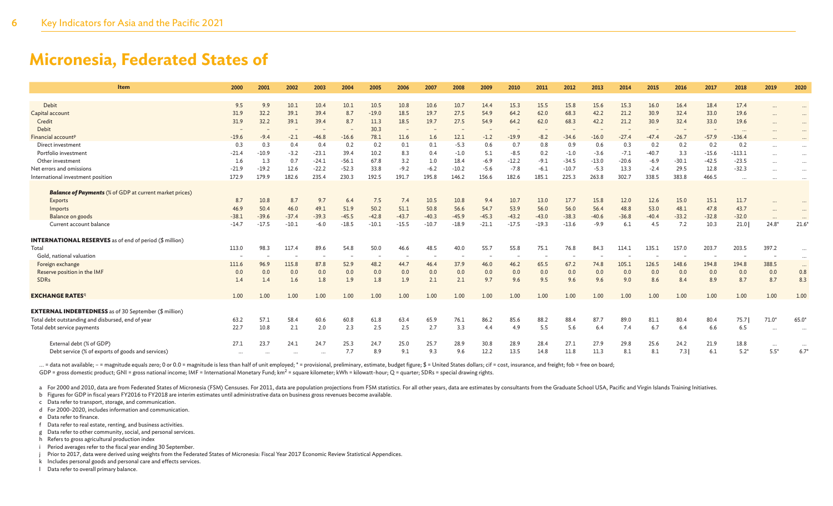| <b>Item</b>                                                                          | 2000        | 2001         | 2002        | 2003        | 2004        | 2005        | 2006        | 2007         | 2008         | 2009        | 2010         | 2011         | 2012         | 2013         | 2014         | 2015         | 2016         | 2017         | 2018         | 2019      | 2020            |
|--------------------------------------------------------------------------------------|-------------|--------------|-------------|-------------|-------------|-------------|-------------|--------------|--------------|-------------|--------------|--------------|--------------|--------------|--------------|--------------|--------------|--------------|--------------|-----------|-----------------|
|                                                                                      |             |              |             |             |             |             |             |              |              |             |              |              |              |              |              |              |              |              |              |           |                 |
| Debit                                                                                | 9.5         | 9.9          | 10.1        | 10.4        | 10.1        | 10.5        | 10.8        | 10.6         | 10.7         | 14.4        | 15.3         | 15.5         | 15.8         | 15.6         | 15.3         | 16.0         | 16.4         | 18.4         | 17.4         |           |                 |
| Capital account                                                                      | 31.9        | 32.2         | 39.1        | 39.4        | 8.7         | $-19.0$     | 18.5        | 19.7         | 27.5         | 54.9        | 64.2         | 62.0         | 68.3         | 42.2         | 21.2         | 30.9         | 32.4         | 33.0         | 19.6         |           |                 |
| Credit                                                                               | 31.9        | 32.2         | 39.1        | 39.4        | 8.7         | 11.3        | 18.5        | 19.7         | 27.5         | 54.9        | 64.2         | 62.0         | 68.3         | 42.2         | 21.2         | 30.9         | 32.4         | 33.0         | 19.6         | $\cdots$  | $\cdots$        |
| Debit                                                                                |             |              |             |             |             | 30.3        |             |              |              |             |              |              |              |              |              |              |              |              | $\cdots$     |           |                 |
| Financial account <sup>p</sup>                                                       | $-19.6$     | $-9.4$       | $-2.1$      | $-46.8$     | $-16.6$     | 78.1        | 11.6        | 1.6          | 12.1         | $-1.2$      | $-19.9$      | $-8.2$       | $-34.6$      | $-16.0$      | $-27.4$      | $-47.4$      | $-26.7$      | $-57.9$      | $-136.4$     |           |                 |
| Direct investment                                                                    | 0.3         | 0.3          | 0.4         | 0.4         | 0.2         | 0.2         | 0.1         | 0.1          | $-5.3$       | 0.6         | 0.7          | 0.8          | 0.9          | 0.6          | 0.3          | 0.2          | 0.2          | 0.2          | 0.2          | $\cdots$  |                 |
| Portfolio investment                                                                 | $-21.4$     | $-10.9$      | $-3.2$      | $-23.1$     | 39.4        | 10.2        | 8.3         | 0.4          | $-1.0$       | 5.1         | $-8.5$       | 0.2          | $-1.0$       | $-3.6$       | $-7.1$       | $-40.7$      | 3.3          | $-15.6$      | $-113.1$     | $\ddotsc$ |                 |
| Other investment                                                                     | 1.6         | 1.3          | 0.7         | $-24.1$     | $-56.1$     | 67.8        | 3.2         | 1.0          | 18.4         | $-6.9$      | $-12.2$      | $-9.1$       | $-34.5$      | $-13.0$      | $-20.6$      | $-6.9$       | $-30.1$      | $-42.5$      | $-23.5$      | $\cdots$  | $\cdots$        |
| Net errors and omissions                                                             | $-21.9$     | $-19.2$      | 12.6        | $-22.2$     | $-52.3$     | 33.8        | $-9.2$      | $-6.2$       | $-10.2$      | $-5.6$      | $-7.8$       | $-6.1$       | $-10.7$      | $-5.3$       | 13.3         | $-2.4$       | 29.5         | 12.8         | $-32.3$      |           | $\cdots$        |
| International investment position                                                    | 172.9       | 179.9        | 182.6       | 235.4       | 230.3       | 192.5       | 191.7       | 195.8        | 146.2        | 156.6       | 182.6        | 185.1        | 225.3        | 263.8        | 302.7        | 338.5        | 383.8        | 466.5        | $\cdots$     |           |                 |
| <b>Balance of Payments</b> (% of GDP at current market prices)<br>Exports<br>Imports | 8.7<br>46.9 | 10.8<br>50.4 | 8.7<br>46.0 | 9.7<br>49.1 | 6.4<br>51.9 | 7.5<br>50.2 | 7.4<br>51.1 | 10.5<br>50.8 | 10.8<br>56.6 | 9.4<br>54.7 | 10.7<br>53.9 | 13.0<br>56.0 | 17.7<br>56.0 | 15.8<br>56.4 | 12.0<br>48.8 | 12.6<br>53.0 | 15.0<br>48.1 | 15.1<br>47.8 | 11.7<br>43.7 |           |                 |
| Balance on goods                                                                     | $-38.1$     | $-39.6$      | $-37.4$     | $-39.3$     | $-45.5$     | $-42.8$     | $-43.7$     | $-40.3$      | $-45.9$      | $-45.3$     | $-43.2$      | $-43.0$      | $-38.3$      | $-40.6$      | $-36.8$      | $-40.4$      | $-33.2$      | $-32.8$      | $-32.0$      |           |                 |
| Current account balance                                                              | $-14.7$     | $-17.5$      | $-10.1$     | $-6.0$      | $-18.5$     | $-10.1$     | $-15.5$     | $-10.7$      | $-18.9$      | $-21.1$     | $-17.5$      | $-19.3$      | $-13.6$      | $-9.9$       | 6.1          | 4.5          | 7.2          | 10.3         | 21.0         | $24.8*$   | $21.6*$         |
| <b>INTERNATIONAL RESERVES</b> as of end of period (\$ million)                       |             |              |             |             |             |             |             |              |              |             |              |              |              |              |              |              |              |              |              |           |                 |
| Total                                                                                | 113.0       | 98.3         | 117.4       | 89.6        | 54.8        | 50.0        | 46.6        | 48.5         | 40.0         | 55.7        | 55.8         | 75.1         | 76.8         | 84.3         | 114.1        | 135.1        | 157.0        | 203.7        | 203.5        | 397.2     |                 |
| Gold, national valuation                                                             |             |              |             |             |             |             |             |              |              |             |              |              |              |              |              |              |              |              |              |           |                 |
| Foreign exchange                                                                     | 111.6       | 96.9         | 115.8       | 87.8        | 52.9        | 48.2        | 44.7        | 46.4         | 37.9         | 46.0        | 46.2         | 65.5         | 67.2         | 74.8         | 105.1        | 126.5        | 148.6        | 194.8        | 194.8        | 388.5     |                 |
| Reserve position in the IMF                                                          | 0.0         | 0.0          | 0.0         | 0.0         | 0.0         | 0.0         | 0.0         | 0.0          | 0.0          | 0.0         | 0.0          | 0.0          | 0.0          | 0.0          | 0.0          | 0.0          | 0.0          | 0.0          | 0.0          | 0.0       | $\cdots$<br>0.8 |
| <b>SDRs</b>                                                                          | 1.4         | 1.4          | 1.6         | 1.8         | 1.9         | 1.8         | 1.9         | 2.1          | 2.1          | 9.7         | 9.6          | 9.5          | 9.6          | 9.6          | 9.0          | 8.6          | 8.4          | 8.9          | 8.7          | 8.7       | 8.3             |
|                                                                                      |             |              |             |             |             |             |             |              |              |             |              |              |              |              |              |              |              |              |              |           |                 |
| <b>EXCHANGE RATES</b> q                                                              | 1.00        | 1.00         | 1.00        | 1.00        | 1.00        | 1.00        | 1.00        | 1.00         | 1.00         | 1.00        | 1.00         | 1.00         | 1.00         | 1.00         | 1.00         | 1.00         | 1.00         | 1.00         | 1.00         | 1.00      | 1.00            |
|                                                                                      |             |              |             |             |             |             |             |              |              |             |              |              |              |              |              |              |              |              |              |           |                 |
| <b>EXTERNAL INDEBTEDNESS</b> as of 30 September (\$ million)                         |             |              |             |             |             |             |             |              |              |             |              |              |              |              |              |              |              |              |              |           |                 |
| Total debt outstanding and disbursed, end of year                                    | 63.2        | 57.1         | 58.4        | 60.6        | 60.8        | 61.8        | 63.4        | 65.9         | 76.1         | 86.2        | 85.6         | 88.2         | 88.4         | 87.7         | 89.0         | 81.1         | 80.4         | 80.4         | 75.7         | $71.0*$   | $65.0*$         |
| Total debt service payments                                                          | 22.7        | 10.8         | 2.1         | 2.0         | 2.3         | 2.5         | 2.5         | 2.7          | 3.3          | 4.4         | 4.9          | 5.5          | 5.6          | 6.4          | 7.4          | 6.7          | 6.4          | 6.6          | 6.5          |           |                 |
| External debt (% of GDP)                                                             | 27.1        | 23.7         | 24.1        | 24.7        | 25.3        | 24.7        | 25.0        | 25.7         | 28.9         | 30.8        | 28.9         | 28.4         | 27.1         | 27.9         | 29.8         | 25.6         | 24.2         | 21.9         | 18.8         | $\cdots$  |                 |
| Debt service (% of exports of goods and services)                                    |             |              |             |             | 7.7         | 8.9         | 9.1         | 9.3          | 9.6          | 12.2        | 13.5         | 14.8         | 11.8         | 11.3         | 8.1          | 8.1          | 7.3          | 6.1          | $5.2*$       | $5.5*$    | 6.7             |
|                                                                                      |             |              |             |             |             |             |             |              |              |             |              |              |              |              |              |              |              |              |              |           |                 |

... = data not available; - = magnitude equals zero; 0 or 0.0 = magnitude is less than half of unit employed; \* = provisional, preliminary, estimate, budget figure; \$ = United States dollars; cif = cost, insurance, and fre GDP = gross domestic product; GNI = gross national income; IMF = International Monetary Fund; km<sup>2</sup> = square kilometer; kWh = kilowatt-hour; Q = quarter; SDRs = special drawing rights.

a For 2000 and 2010, data are from Federated States of Micronesia (FSM) Censuses. For 2011, data are population projections from FSM statistics. For all other years, data are estimates by consultants from the Graduate Scho

b Figures for GDP in fiscal years FY2016 to FY2018 are interim estimates until administrative data on business gross revenues become available.

c Data refer to transport, storage, and communication.

d For 2000-2020, includes information and communication.

e Data refer to finance.

f Data refer to real estate, renting, and business activities.

g Data refer to other community, social, and personal services.

h Refers to gross agricultural production index

i Period averages refer to the fiscal year ending 30 September.

j Prior to 2017, data were derived using weights from the Federated States of Micronesia: Fiscal Year 2017 Economic Review Statistical Appendices.

k Includes personal goods and personal care and effects services.

l Data refer to overall primary balance.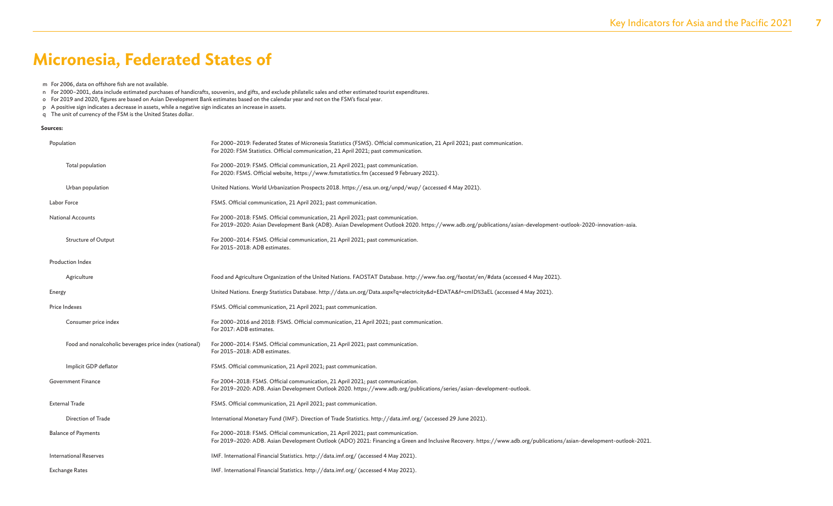- m For 2006, data on offshore fish are not available.
- n For 2000–2001, data include estimated purchases of handicrafts, souvenirs, and gifts, and exclude philatelic sales and other estimated tourist expenditures.
- o For 2019 and 2020, figures are based on Asian Development Bank estimates based on the calendar year and not on the FSM's fiscal year.
- p A positive sign indicates a decrease in assets, while a negative sign indicates an increase in assets.
- q The unit of currency of the FSM is the United States dollar.

#### **Sources:**

| Population                                             | For 2000-2019: Federated States of Micronesia Statistics (FSMS). Official communication, 21 April 2021; past communication.<br>For 2020: FSM Statistics. Official communication, 21 April 2021; past communication.                                     |
|--------------------------------------------------------|---------------------------------------------------------------------------------------------------------------------------------------------------------------------------------------------------------------------------------------------------------|
| Total population                                       | For 2000-2019: FSMS. Official communication, 21 April 2021; past communication.<br>For 2020: FSMS. Official website, https://www.fsmstatistics.fm (accessed 9 February 2021).                                                                           |
| Urban population                                       | United Nations. World Urbanization Prospects 2018. https://esa.un.org/unpd/wup/ (accessed 4 May 2021).                                                                                                                                                  |
| Labor Force                                            | FSMS. Official communication, 21 April 2021; past communication.                                                                                                                                                                                        |
| <b>National Accounts</b>                               | For 2000-2018: FSMS. Official communication, 21 April 2021; past communication.<br>For 2019-2020: Asian Development Bank (ADB). Asian Development Outlook 2020. https://www.adb.org/publications/asian-development-outlook-2020-innovation-asia.        |
| Structure of Output                                    | For 2000-2014: FSMS. Official communication, 21 April 2021; past communication.<br>For 2015-2018: ADB estimates.                                                                                                                                        |
| Production Index                                       |                                                                                                                                                                                                                                                         |
| Agriculture                                            | Food and Agriculture Organization of the United Nations. FAOSTAT Database. http://www.fao.org/faostat/en/#data (accessed 4 May 2021).                                                                                                                   |
| Energy                                                 | United Nations. Energy Statistics Database. http://data.un.org/Data.aspx?q=electricity&d=EDATA&f=cmID%3aEL (accessed 4 May 2021).                                                                                                                       |
| Price Indexes                                          | FSMS. Official communication, 21 April 2021; past communication.                                                                                                                                                                                        |
| Consumer price index                                   | For 2000-2016 and 2018: FSMS. Official communication, 21 April 2021; past communication.<br>For 2017: ADB estimates.                                                                                                                                    |
| Food and nonalcoholic beverages price index (national) | For 2000-2014: FSMS. Official communication, 21 April 2021; past communication.<br>For 2015-2018: ADB estimates.                                                                                                                                        |
| Implicit GDP deflator                                  | FSMS. Official communication, 21 April 2021; past communication.                                                                                                                                                                                        |
| Government Finance                                     | For 2004-2018: FSMS. Official communication, 21 April 2021; past communication.<br>For 2019-2020: ADB. Asian Development Outlook 2020. https://www.adb.org/publications/series/asian-development-outlook.                                               |
| <b>External Trade</b>                                  | FSMS. Official communication, 21 April 2021; past communication.                                                                                                                                                                                        |
| Direction of Trade                                     | International Monetary Fund (IMF). Direction of Trade Statistics. http://data.imf.org/ (accessed 29 June 2021).                                                                                                                                         |
| <b>Balance of Payments</b>                             | For 2000-2018: FSMS. Official communication, 21 April 2021; past communication.<br>For 2019-2020: ADB. Asian Development Outlook (ADO) 2021: Financing a Green and Inclusive Recovery. https://www.adb.org/publications/asian-development-outlook-2021. |
| <b>International Reserves</b>                          | IMF. International Financial Statistics. http://data.imf.org/ (accessed 4 May 2021).                                                                                                                                                                    |
| <b>Exchange Rates</b>                                  | IMF. International Financial Statistics. http://data.imf.org/ (accessed 4 May 2021).                                                                                                                                                                    |